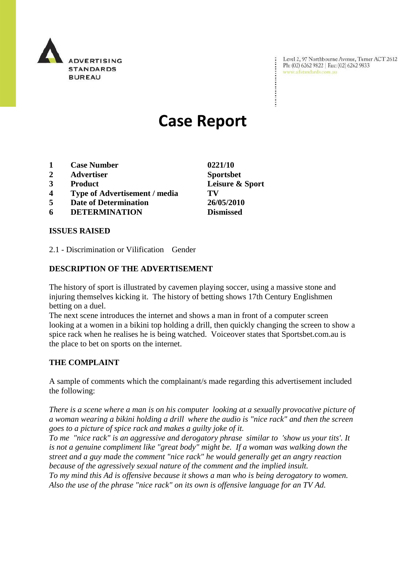

Level 2, 97 Northbourne Avenue, Turner ACT 2612 Ph: (02) 6262 9822 | Fax: (02) 6262 9833 www.adstandards.com.au

# **Case Report**

- **1 Case Number 0221/10**
- **2 Advertiser Sportsbet**
- 
- **4 Type of Advertisement / media TV**
- **5 Date of Determination 26/05/2010**
- **6 DETERMINATION Dismissed**

#### **ISSUES RAISED**

2.1 - Discrimination or Vilification Gender

#### **DESCRIPTION OF THE ADVERTISEMENT**

The history of sport is illustrated by cavemen playing soccer, using a massive stone and injuring themselves kicking it. The history of betting shows 17th Century Englishmen betting on a duel.

The next scene introduces the internet and shows a man in front of a computer screen looking at a women in a bikini top holding a drill, then quickly changing the screen to show a spice rack when he realises he is being watched. Voiceover states that Sportsbet.com.au is the place to bet on sports on the internet.

#### **THE COMPLAINT**

A sample of comments which the complainant/s made regarding this advertisement included the following:

*There is a scene where a man is on his computer looking at a sexually provocative picture of a woman wearing a bikini holding a drill where the audio is "nice rack" and then the screen goes to a picture of spice rack and makes a guilty joke of it.* 

*To me "nice rack" is an aggressive and derogatory phrase similar to 'show us your tits'. It is not a genuine compliment like "great body" might be. If a woman was walking down the street and a guy made the comment "nice rack" he would generally get an angry reaction because of the agressively sexual nature of the comment and the implied insult.* 

*To my mind this Ad is offensive because it shows a man who is being derogatory to women. Also the use of the phrase "nice rack" on its own is offensive language for an TV Ad.* 

**3 Product Leisure & Sport**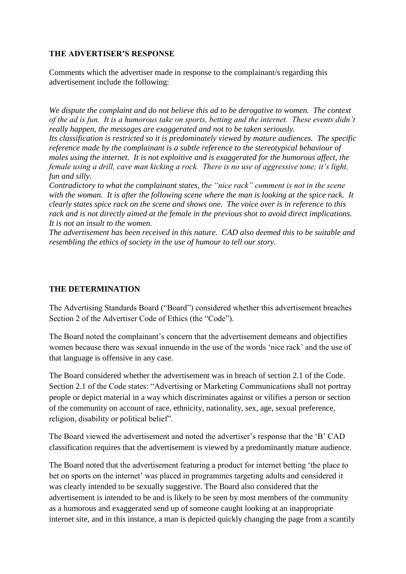## **THE ADVERTISER'S RESPONSE**

Comments which the advertiser made in response to the complainant/s regarding this advertisement include the following:

*We dispute the complaint and do not believe this ad to be derogative to women. The context of the ad is fun. It is a humorous take on sports, betting and the internet. These events didn't really happen, the messages are exaggerated and not to be taken seriously.*

*Its classification is restricted so it is predominately viewed by mature audiences. The specific reference made by the complainant is a subtle reference to the stereotypical behaviour of males using the internet. It is not exploitive and is exaggerated for the humorous affect, the female using a drill, cave man kicking a rock. There is no use of aggressive tone; it's light, fun and silly.*

*Contradictory to what the complainant states, the "nice rack" comment is not in the scene with the woman. It is after the following scene where the man is looking at the spice rack. It clearly states spice rack on the scene and shows one. The voice over is in reference to this rack and is not directly aimed at the female in the previous shot to avoid direct implications. It is not an insult to the women.*

*The advertisement has been received in this nature. CAD also deemed this to be suitable and resembling the ethics of society in the use of humour to tell our story.*

## **THE DETERMINATION**

The Advertising Standards Board ("Board") considered whether this advertisement breaches Section 2 of the Advertiser Code of Ethics (the "Code").

The Board noted the complainant"s concern that the advertisement demeans and objectifies women because there was sexual innuendo in the use of the words "nice rack" and the use of that language is offensive in any case.

The Board considered whether the advertisement was in breach of section 2.1 of the Code. Section 2.1 of the Code states: "Advertising or Marketing Communications shall not portray people or depict material in a way which discriminates against or vilifies a person or section of the community on account of race, ethnicity, nationality, sex, age, sexual preference, religion, disability or political belief".

The Board viewed the advertisement and noted the advertiser's response that the 'B' CAD classification requires that the advertisement is viewed by a predominantly mature audience.

The Board noted that the advertisement featuring a product for internet betting "the place to bet on sports on the internet" was placed in programmes targeting adults and considered it was clearly intended to be sexually suggestive. The Board also considered that the advertisement is intended to be and is likely to be seen by most members of the community as a humorous and exaggerated send up of someone caught looking at an inappropriate internet site, and in this instance, a man is depicted quickly changing the page from a scantily